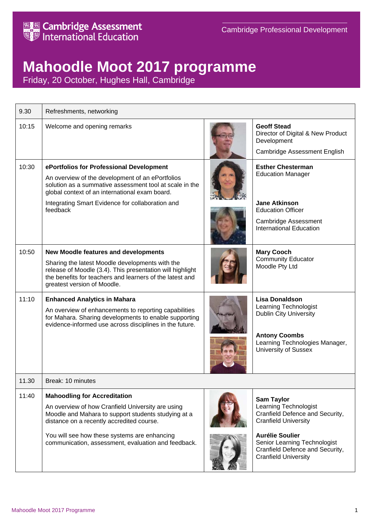

## **Mahoodle Moot 2017 programme**

Friday, 20 October, Hughes Hall, Cambridge

| 9.30  | Refreshments, networking                                                                                                                                                                                                                                                                            |  |                                                                                                                                                                                                                                          |
|-------|-----------------------------------------------------------------------------------------------------------------------------------------------------------------------------------------------------------------------------------------------------------------------------------------------------|--|------------------------------------------------------------------------------------------------------------------------------------------------------------------------------------------------------------------------------------------|
| 10:15 | Welcome and opening remarks                                                                                                                                                                                                                                                                         |  | <b>Geoff Stead</b><br>Director of Digital & New Product<br>Development<br>Cambridge Assessment English                                                                                                                                   |
| 10:30 | ePortfolios for Professional Development<br>An overview of the development of an ePortfolios<br>solution as a summative assessment tool at scale in the<br>global context of an international exam board.<br>Integrating Smart Evidence for collaboration and<br>feedback                           |  | <b>Esther Chesterman</b><br><b>Education Manager</b><br><b>Jane Atkinson</b><br><b>Education Officer</b><br>Cambridge Assessment<br><b>International Education</b>                                                                       |
| 10:50 | <b>New Moodle features and developments</b><br>Sharing the latest Moodle developments with the<br>release of Moodle (3.4). This presentation will highlight<br>the benefits for teachers and learners of the latest and<br>greatest version of Moodle.                                              |  | <b>Mary Cooch</b><br><b>Community Educator</b><br>Moodle Pty Ltd                                                                                                                                                                         |
| 11:10 | <b>Enhanced Analytics in Mahara</b><br>An overview of enhancements to reporting capabilities<br>for Mahara. Sharing developments to enable supporting<br>evidence-informed use across disciplines in the future.                                                                                    |  | <b>Lisa Donaldson</b><br>Learning Technologist<br><b>Dublin City University</b><br><b>Antony Coombs</b><br>Learning Technologies Manager,<br><b>University of Sussex</b>                                                                 |
| 11.30 | Break: 10 minutes                                                                                                                                                                                                                                                                                   |  |                                                                                                                                                                                                                                          |
| 11:40 | <b>Mahoodling for Accreditation</b><br>An overview of how Cranfield University are using<br>Moodle and Mahara to support students studying at a<br>distance on a recently accredited course.<br>You will see how these systems are enhancing<br>communication, assessment, evaluation and feedback. |  | <b>Sam Taylor</b><br>Learning Technologist<br>Cranfield Defence and Security,<br><b>Cranfield University</b><br><b>Aurélie Soulier</b><br>Senior Learning Technologist<br>Cranfield Defence and Security,<br><b>Cranfield University</b> |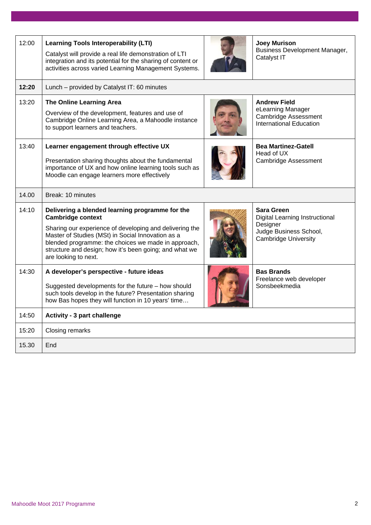| 12:00 | <b>Learning Tools Interoperability (LTI)</b><br>Catalyst will provide a real life demonstration of LTI<br>integration and its potential for the sharing of content or<br>activities across varied Learning Management Systems.                                                                                                       | <b>Joey Murison</b><br>Business Development Manager,<br>Catalyst IT                                               |
|-------|--------------------------------------------------------------------------------------------------------------------------------------------------------------------------------------------------------------------------------------------------------------------------------------------------------------------------------------|-------------------------------------------------------------------------------------------------------------------|
| 12:20 | Lunch – provided by Catalyst IT: 60 minutes                                                                                                                                                                                                                                                                                          |                                                                                                                   |
| 13:20 | <b>The Online Learning Area</b><br>Overview of the development, features and use of<br>Cambridge Online Learning Area, a Mahoodle instance<br>to support learners and teachers.                                                                                                                                                      | <b>Andrew Field</b><br>eLearning Manager<br><b>Cambridge Assessment</b><br><b>International Education</b>         |
| 13:40 | Learner engagement through effective UX<br>Presentation sharing thoughts about the fundamental<br>importance of UX and how online learning tools such as<br>Moodle can engage learners more effectively                                                                                                                              | <b>Bea Martinez-Gatell</b><br>Head of UX<br><b>Cambridge Assessment</b>                                           |
| 14.00 | Break: 10 minutes                                                                                                                                                                                                                                                                                                                    |                                                                                                                   |
| 14:10 | Delivering a blended learning programme for the<br><b>Cambridge context</b><br>Sharing our experience of developing and delivering the<br>Master of Studies (MSt) in Social Innovation as a<br>blended programme: the choices we made in approach,<br>structure and design; how it's been going; and what we<br>are looking to next. | Sara Green<br>Digital Learning Instructional<br>Designer<br>Judge Business School,<br><b>Cambridge University</b> |
| 14:30 | A developer's perspective - future ideas<br>Suggested developments for the future - how should<br>such tools develop in the future? Presentation sharing<br>how Bas hopes they will function in 10 years' time                                                                                                                       | <b>Bas Brands</b><br>Freelance web developer<br>Sonsbeekmedia                                                     |
| 14:50 | <b>Activity - 3 part challenge</b>                                                                                                                                                                                                                                                                                                   |                                                                                                                   |
| 15:20 | Closing remarks                                                                                                                                                                                                                                                                                                                      |                                                                                                                   |
| 15.30 | End                                                                                                                                                                                                                                                                                                                                  |                                                                                                                   |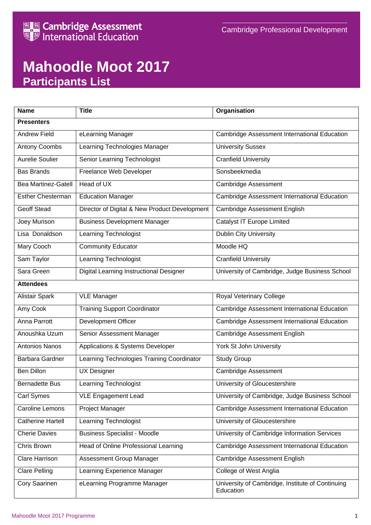

## **Mahoodle Moot 2017 Participants List**

| <b>Name</b>              | <b>Title</b>                                  | Organisation                                                  |  |  |  |  |
|--------------------------|-----------------------------------------------|---------------------------------------------------------------|--|--|--|--|
| <b>Presenters</b>        |                                               |                                                               |  |  |  |  |
| <b>Andrew Field</b>      | eLearning Manager                             | Cambridge Assessment International Education                  |  |  |  |  |
| <b>Antony Coombs</b>     | Learning Technologies Manager                 | <b>University Sussex</b>                                      |  |  |  |  |
| Aurelie Soulier          | Senior Learning Technologist                  | <b>Cranfield University</b>                                   |  |  |  |  |
| <b>Bas Brands</b>        | Freelance Web Developer                       | Sonsbeekmedia                                                 |  |  |  |  |
| Bea Martinez-Gatell      | Head of UX                                    | <b>Cambridge Assessment</b>                                   |  |  |  |  |
| <b>Esther Chesterman</b> | <b>Education Manager</b>                      | Cambridge Assessment International Education                  |  |  |  |  |
| <b>Geoff Stead</b>       | Director of Digital & New Product Development | Cambridge Assessment English                                  |  |  |  |  |
| Joey Murison             | <b>Business Development Manager</b>           | <b>Catalyst IT Europe Limited</b>                             |  |  |  |  |
| Lisa Donaldson           | Learning Technologist                         | <b>Dublin City University</b>                                 |  |  |  |  |
| Mary Cooch               | <b>Community Educator</b>                     | Moodle HQ                                                     |  |  |  |  |
| Sam Taylor               | Learning Technologist                         | <b>Cranfield University</b>                                   |  |  |  |  |
| Sara Green               | Digital Learning Instructional Designer       | University of Cambridge, Judge Business School                |  |  |  |  |
| <b>Attendees</b>         |                                               |                                                               |  |  |  |  |
| <b>Alistair Spark</b>    | <b>VLE Manager</b>                            | <b>Royal Veterinary College</b>                               |  |  |  |  |
| Amy Cook                 | <b>Training Support Coordinator</b>           | Cambridge Assessment International Education                  |  |  |  |  |
| Anna Parrott             | Development Officer                           | Cambridge Assessment International Education                  |  |  |  |  |
| Anoushka Uzum            | Senior Assessment Manager                     | Cambridge Assessment English                                  |  |  |  |  |
| <b>Antonios Nanos</b>    | Applications & Systems Developer              | York St John University                                       |  |  |  |  |
| <b>Barbara Gardner</b>   | Learning Technologies Training Coordinator    | <b>Study Group</b>                                            |  |  |  |  |
| <b>Ben Dillon</b>        | <b>UX Designer</b>                            | <b>Cambridge Assessment</b>                                   |  |  |  |  |
| <b>Bernadette Bus</b>    | Learning Technologist                         | University of Gloucestershire                                 |  |  |  |  |
| Carl Symes               | <b>VLE Engagement Lead</b>                    | University of Cambridge, Judge Business School                |  |  |  |  |
| <b>Caroline Lemons</b>   | Project Manager                               | Cambridge Assessment International Education                  |  |  |  |  |
| <b>Catherine Hartell</b> | Learning Technologist                         | University of Gloucestershire                                 |  |  |  |  |
| <b>Cherie Davies</b>     | <b>Business Specialist - Moodle</b>           | University of Cambridge Information Services                  |  |  |  |  |
| Chris Brown              | Head of Online Professional Learning          | Cambridge Assessment International Education                  |  |  |  |  |
| Clare Harrison           | Assessment Group Manager                      | Cambridge Assessment English                                  |  |  |  |  |
| <b>Clare Pelling</b>     | Learning Experience Manager                   | <b>College of West Anglia</b>                                 |  |  |  |  |
| Cory Saarinen            | eLearning Programme Manager                   | University of Cambridge, Institute of Continuing<br>Education |  |  |  |  |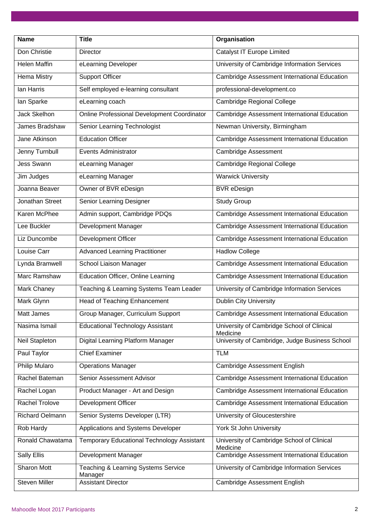| <b>Name</b>           | <b>Title</b>                                       | Organisation                                           |
|-----------------------|----------------------------------------------------|--------------------------------------------------------|
| Don Christie          | <b>Director</b>                                    | <b>Catalyst IT Europe Limited</b>                      |
| <b>Helen Maffin</b>   | eLearning Developer                                | University of Cambridge Information Services           |
| <b>Hema Mistry</b>    | <b>Support Officer</b>                             | Cambridge Assessment International Education           |
| Ian Harris            | Self employed e-learning consultant                | professional-development.co                            |
| lan Sparke            | eLearning coach                                    | <b>Cambridge Regional College</b>                      |
| <b>Jack Skelhon</b>   | <b>Online Professional Development Coordinator</b> | Cambridge Assessment International Education           |
| James Bradshaw        | Senior Learning Technologist                       | Newman University, Birmingham                          |
| Jane Atkinson         | <b>Education Officer</b>                           | Cambridge Assessment International Education           |
| Jenny Turnbull        | <b>Events Administrator</b>                        | <b>Cambridge Assessment</b>                            |
| <b>Jess Swann</b>     | eLearning Manager                                  | Cambridge Regional College                             |
| Jim Judges            | eLearning Manager                                  | <b>Warwick University</b>                              |
| Joanna Beaver         | Owner of BVR eDesign                               | <b>BVR</b> eDesign                                     |
| Jonathan Street       | Senior Learning Designer                           | <b>Study Group</b>                                     |
| <b>Karen McPhee</b>   | Admin support, Cambridge PDQs                      | Cambridge Assessment International Education           |
| Lee Buckler           | Development Manager                                | Cambridge Assessment International Education           |
| Liz Duncombe          | Development Officer                                | Cambridge Assessment International Education           |
| Louise Carr           | <b>Advanced Learning Practitioner</b>              | <b>Hadlow College</b>                                  |
| Lynda Bramwell        | School Liaison Manager                             | Cambridge Assessment International Education           |
| <b>Marc Ramshaw</b>   | <b>Education Officer, Online Learning</b>          | <b>Cambridge Assessment International Education</b>    |
| Mark Chaney           | Teaching & Learning Systems Team Leader            | University of Cambridge Information Services           |
| Mark Glynn            | <b>Head of Teaching Enhancement</b>                | <b>Dublin City University</b>                          |
| <b>Matt James</b>     | Group Manager, Curriculum Support                  | Cambridge Assessment International Education           |
| Nasima Ismail         | <b>Educational Technology Assistant</b>            | University of Cambridge School of Clinical<br>Medicine |
| Neil Stapleton        | <b>Digital Learning Platform Manager</b>           | University of Cambridge, Judge Business School         |
| Paul Taylor           | <b>Chief Examiner</b>                              | <b>TLM</b>                                             |
| <b>Philip Mularo</b>  | <b>Operations Manager</b>                          | Cambridge Assessment English                           |
| Rachel Bateman        | Senior Assessment Advisor                          | Cambridge Assessment International Education           |
| Rachel Logan          | Product Manager - Art and Design                   | Cambridge Assessment International Education           |
| <b>Rachel Trolove</b> | Development Officer                                | Cambridge Assessment International Education           |
| Richard Oelmann       | Senior Systems Developer (LTR)                     | University of Gloucestershire                          |
| Rob Hardy             | Applications and Systems Developer                 | York St John University                                |
| Ronald Chawatama      | <b>Temporary Educational Technology Assistant</b>  | University of Cambridge School of Clinical<br>Medicine |
| <b>Sally Ellis</b>    | Development Manager                                | Cambridge Assessment International Education           |
| <b>Sharon Mott</b>    | Teaching & Learning Systems Service<br>Manager     | University of Cambridge Information Services           |
| <b>Steven Miller</b>  | <b>Assistant Director</b>                          | Cambridge Assessment English                           |